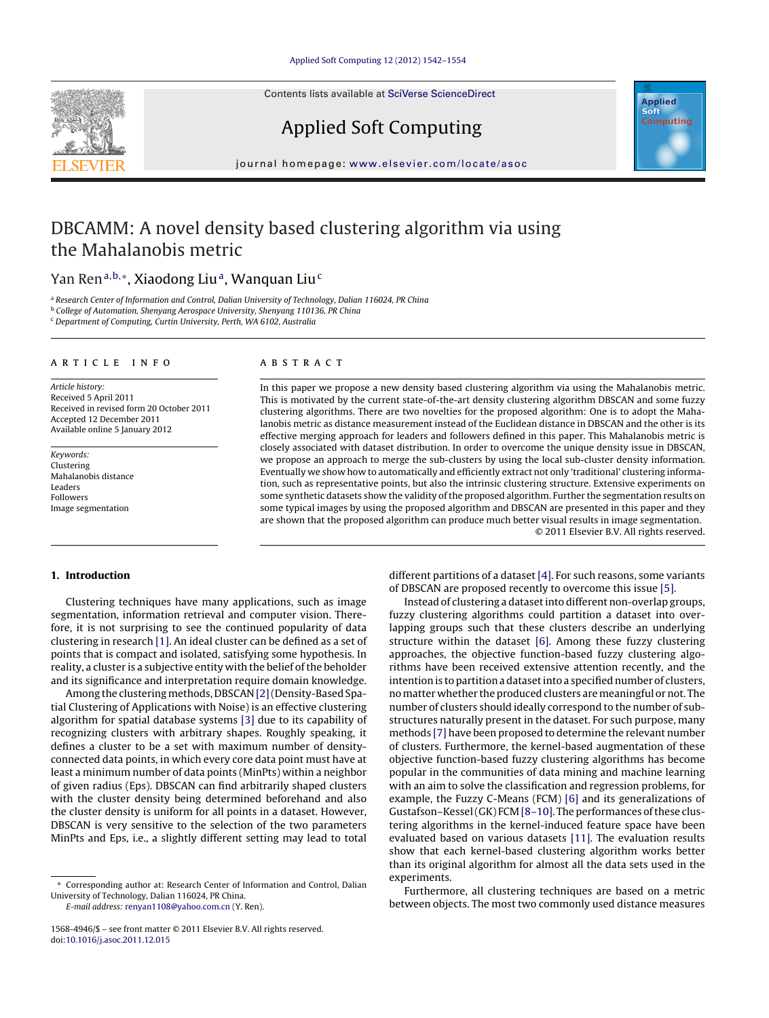Contents lists available at SciVerse [ScienceDirect](http://www.sciencedirect.com/science/journal/15684946)



iournal homepage: <www.elsevier.com/locate/asoc>

Applied Soft Computing

## DBCAMM: A novel density based clustering algorithm via using the Mahalanobis metric

### Yan Ren<sup>a, b,</sup>\*, Xiaodong Liu<sup>a</sup>, Wanquan Liu<sup>c</sup>

a Research Center of Information and Control, Dalian University of Technology, Dalian 116024, PR China <sup>b</sup> College of Automation, Shenyang Aerospace University, Shenyang 110136, PR China

<sup>c</sup> Department of Computing, Curtin University, Perth, WA 6102, Australia

#### a r t i c l e i n f o

Article history: Received 5 April 2011 Received in revised form 20 October 2011 Accepted 12 December 2011 Available online 5 January 2012

Keywords: Clustering Mahalanobis distance Leaders Followers Image segmentation

#### A B S T R A C T

In this paper we propose a new density based clustering algorithm via using the Mahalanobis metric. This is motivated by the current state-of-the-art density clustering algorithm DBSCAN and some fuzzy clustering algorithms. There are two novelties for the proposed algorithm: One is to adopt the Mahalanobis metric as distance measurement instead of the Euclidean distance in DBSCAN and the other is its effective merging approach for leaders and followers defined in this paper. This Mahalanobis metric is closely associated with dataset distribution. In order to overcome the unique density issue in DBSCAN, we propose an approach to merge the sub-clusters by using the local sub-cluster density information. Eventually we show how to automatically and efficiently extract not only 'traditional' clustering information, such as representative points, but also the intrinsic clustering structure. Extensive experiments on some synthetic datasets show the validity of the proposed algorithm. Further the segmentation results on some typical images by using the proposed algorithm and DBSCAN are presented in this paper and they are shown that the proposed algorithm can produce much better visual results in image segmentation. © 2011 Elsevier B.V. All rights reserved.

### **1. Introduction**

Clustering techniques have many applications, such as image segmentation, information retrieval and computer vision. Therefore, it is not surprising to see the continued popularity of data clustering in research [\[1\].](#page--1-0) An ideal cluster can be defined as a set of points that is compact and isolated, satisfying some hypothesis. In reality, a cluster is a subjective entity with the belief of the beholder and its significance and interpretation require domain knowledge.

Among the clustering methods, DBSCAN [2] (Density-Based Spatial Clustering of Applications with Noise) is an effective clustering algorithm for spatial database systems [\[3\]](#page--1-0) due to its capability of recognizing clusters with arbitrary shapes. Roughly speaking, it defines a cluster to be a set with maximum number of densityconnected data points, in which every core data point must have at least a minimum number of data points (MinPts) within a neighbor of given radius (Eps). DBSCAN can find arbitrarily shaped clusters with the cluster density being determined beforehand and also the cluster density is uniform for all points in a dataset. However, DBSCAN is very sensitive to the selection of the two parameters MinPts and Eps, i.e., a slightly different setting may lead to total

E-mail address: [renyan1108@yahoo.com.cn](mailto:renyan1108@yahoo.com.cn) (Y. Ren).

different partitions of a dataset [\[4\].](#page--1-0) For such reasons, some variants of DBSCAN are proposed recently to overcome this issue [\[5\].](#page--1-0)

Instead of clustering a datasetinto different non-overlap groups, fuzzy clustering algorithms could partition a dataset into overlapping groups such that these clusters describe an underlying structure within the dataset [\[6\].](#page--1-0) Among these fuzzy clustering approaches, the objective function-based fuzzy clustering algorithms have been received extensive attention recently, and the intention is to partition a dataset into a specified number of clusters, no matter whether the produced clusters are meaningful or not. The number of clusters should ideally correspond to the number of substructures naturally present in the dataset. For such purpose, many methods [\[7\]](#page--1-0) have been proposed to determine the relevant number of clusters. Furthermore, the kernel-based augmentation of these objective function-based fuzzy clustering algorithms has become popular in the communities of data mining and machine learning with an aim to solve the classification and regression problems, for example, the Fuzzy C-Means (FCM) [\[6\]](#page--1-0) and its generalizations of Gustafson–Kessel (GK) FCM [\[8–10\].](#page--1-0) The performances of these clustering algorithms in the kernel-induced feature space have been evaluated based on various datasets [\[11\].](#page--1-0) The evaluation results show that each kernel-based clustering algorithm works better than its original algorithm for almost all the data sets used in the experiments.

Furthermore, all clustering techniques are based on a metric between objects. The most two commonly used distance measures

<sup>∗</sup> Corresponding author at: Research Center of Information and Control, Dalian University of Technology, Dalian 116024, PR China.

<sup>1568-4946/\$</sup> – see front matter © 2011 Elsevier B.V. All rights reserved. doi:[10.1016/j.asoc.2011.12.015](dx.doi.org/10.1016/j.asoc.2011.12.015)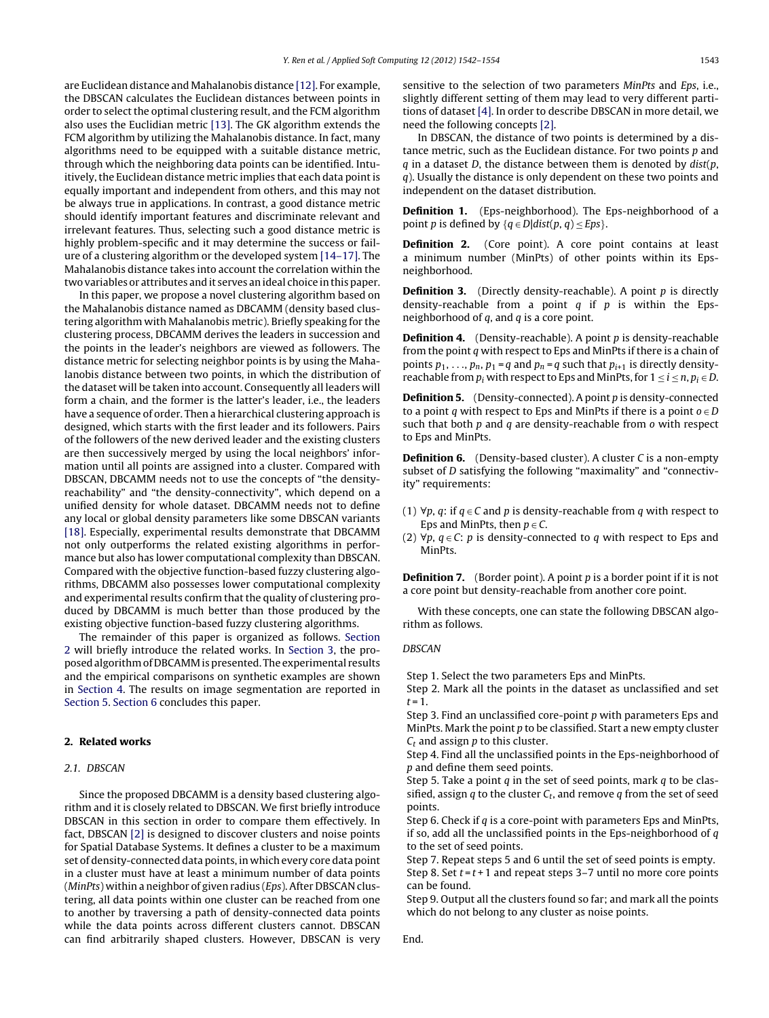are Euclidean distance and Mahalanobis distance [\[12\].](#page--1-0) For example, the DBSCAN calculates the Euclidean distances between points in order to select the optimal clustering result, and the FCM algorithm also uses the Euclidian metric [\[13\].](#page--1-0) The GK algorithm extends the FCM algorithm by utilizing the Mahalanobis distance. In fact, many algorithms need to be equipped with a suitable distance metric, through which the neighboring data points can be identified. Intuitively, the Euclidean distance metric implies that each data point is equally important and independent from others, and this may not be always true in applications. In contrast, a good distance metric should identify important features and discriminate relevant and irrelevant features. Thus, selecting such a good distance metric is highly problem-specific and it may determine the success or failure of a clustering algorithm or the developed system [\[14–17\].](#page--1-0) The Mahalanobis distance takes into account the correlation within the two variables or attributes and it serves anideal choice inthis paper.

In this paper, we propose a novel clustering algorithm based on the Mahalanobis distance named as DBCAMM (density based clustering algorithm with Mahalanobis metric). Briefly speaking for the clustering process, DBCAMM derives the leaders in succession and the points in the leader's neighbors are viewed as followers. The distance metric for selecting neighbor points is by using the Mahalanobis distance between two points, in which the distribution of the dataset will be taken into account. Consequently all leaders will form a chain, and the former is the latter's leader, i.e., the leaders have a sequence of order. Then a hierarchical clustering approach is designed, which starts with the first leader and its followers. Pairs of the followers of the new derived leader and the existing clusters are then successively merged by using the local neighbors' information until all points are assigned into a cluster. Compared with DBSCAN, DBCAMM needs not to use the concepts of "the densityreachability" and "the density-connectivity", which depend on a unified density for whole dataset. DBCAMM needs not to define any local or global density parameters like some DBSCAN variants [\[18\].](#page--1-0) Especially, experimental results demonstrate that DBCAMM not only outperforms the related existing algorithms in performance but also has lower computational complexity than DBSCAN. Compared with the objective function-based fuzzy clustering algorithms, DBCAMM also possesses lower computational complexity and experimental results confirm that the quality of clustering produced by DBCAMM is much better than those produced by the existing objective function-based fuzzy clustering algorithms.

The remainder of this paper is organized as follows. Section 2 will briefly introduce the related works. In [Section](#page--1-0) [3,](#page--1-0) the proposed algorithm of DBCAMM is presented. The experimental results and the empirical comparisons on synthetic examples are shown in [Section](#page--1-0) [4.](#page--1-0) The results on image segmentation are reported in [Section](#page--1-0) [5.](#page--1-0) [Section](#page--1-0) [6](#page--1-0) concludes this paper.

#### **2. Related works**

#### 2.1. DBSCAN

Since the proposed DBCAMM is a density based clustering algorithm and it is closely related to DBSCAN. We first briefly introduce DBSCAN in this section in order to compare them effectively. In fact, DBSCAN [\[2\]](#page--1-0) is designed to discover clusters and noise points for Spatial Database Systems. It defines a cluster to be a maximum set of density-connected data points, in which every core data point in a cluster must have at least a minimum number of data points (MinPts) within a neighbor of given radius (Eps). After DBSCAN clustering, all data points within one cluster can be reached from one to another by traversing a path of density-connected data points while the data points across different clusters cannot. DBSCAN can find arbitrarily shaped clusters. However, DBSCAN is very sensitive to the selection of two parameters MinPts and Eps, i.e., slightly different setting of them may lead to very different partitions of dataset [\[4\].](#page--1-0) In order to describe DBSCAN in more detail, we need the following concepts [\[2\].](#page--1-0)

In DBSCAN, the distance of two points is determined by a distance metric, such as the Euclidean distance. For two points p and q in a dataset D, the distance between them is denoted by  $dist(p, \theta)$ q). Usually the distance is only dependent on these two points and independent on the dataset distribution.

**Definition 1.** (Eps-neighborhood). The Eps-neighborhood of a point *p* is defined by  $\{q \in D | dist(p, q) \leq Eps\}.$ 

**Definition 2.** (Core point). A core point contains at least a minimum number (MinPts) of other points within its Epsneighborhood.

**Definition 3.** (Directly density-reachable). A point p is directly density-reachable from a point  $q$  if  $p$  is within the Epsneighborhood of  $q$ , and  $q$  is a core point.

**Definition 4.** (Density-reachable). A point p is density-reachable from the point q with respect to Eps and MinPts if there is a chain of points  $p_1, \ldots, p_n$ ,  $p_1 = q$  and  $p_n = q$  such that  $p_{i+1}$  is directly densityreachable from  $p_i$  with respect to Eps and MinPts, for  $1 \le i \le n$ ,  $p_i \in D$ .

**Definition 5.** (Density-connected). A point p is density-connected to a point q with respect to Eps and MinPts if there is a point  $o \in D$ such that both  $p$  and  $q$  are density-reachable from  $o$  with respect to Eps and MinPts.

**Definition 6.** (Density-based cluster). A cluster C is a non-empty subset of D satisfying the following "maximality" and "connectivity" requirements:

- (1)  $∀p, q$ : if  $q ∈ C$  and p is density-reachable from q with respect to Eps and MinPts, then  $p \in C$ .
- (2)  $\forall p, q \in C: p$  is density-connected to q with respect to Eps and MinPts.

**Definition 7.** (Border point). A point p is a border point if it is not a core point but density-reachable from another core point.

With these concepts, one can state the following DBSCAN algorithm as follows.

#### DBSCAN

Step 1. Select the two parameters Eps and MinPts.

Step 2. Mark all the points in the dataset as unclassified and set  $t = 1$ .

Step 3. Find an unclassified core-point p with parameters Eps and MinPts. Mark the point  $p$  to be classified. Start a new empty cluster  $C_t$  and assign p to this cluster.

Step 4. Find all the unclassified points in the Eps-neighborhood of p and define them seed points.

Step 5. Take a point  $q$  in the set of seed points, mark  $q$  to be classified, assign q to the cluster  $C_t$ , and remove q from the set of seed points.

Step 6. Check if  $q$  is a core-point with parameters Eps and MinPts, if so, add all the unclassified points in the Eps-neighborhood of  $q$ to the set of seed points.

Step 7. Repeat steps 5 and 6 until the set of seed points is empty. Step 8. Set  $t = t + 1$  and repeat steps 3–7 until no more core points can be found.

Step 9. Output all the clusters found so far; and mark all the points which do not belong to any cluster as noise points.

End.